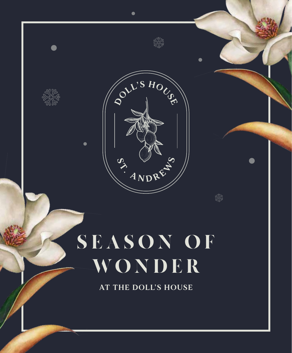

# SEASON OF WONDER

**AT THE DOLL'S HOUSE**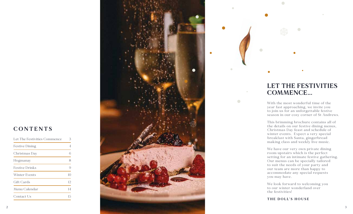# **CONTENTS**

| Let The Festivities Commence | 3  |
|------------------------------|----|
| Festive Dining               | 4  |
| Christmas Day                | 6  |
| Hogmanay                     | 8  |
| <b>Festive Drinks</b>        | 9  |
| Winter Events                | 10 |
| Gift Cards                   | 12 |
| Menu Calendar                | 14 |
| Contact Us                   | 15 |



# **LET THE FESTIVITIES COMMENCE...**

 $\bullet$ 

 $\bigcirc$ 

 $\bigcirc$ 

With the most wonderful time of the year fast approaching, we invite you to join us for an unforgettable festive season in our cosy corner of St Andrews.

This brimming brochure contains all of the details on our festive dining menus, Christmas Day feast and schedule of winter events. Expect a very special breakfast with Santa, gingerbread making class and weekly live music.

We have our very own private dining room upstairs which is the perfect setting for an intimate festive gathering. Our menus can be specially tailored to suit the needs of your party and our team are more than happy to accommodate any special requests you may have.

We look forward to welcoming you to our winter wonderland over the festivities!

**THE DOLL'S HOUSE**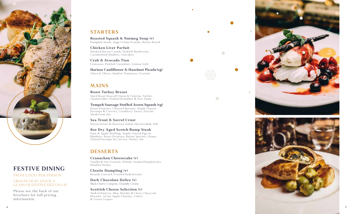

# **FESTIVE DINING**

FROM £26.95 PER PERSON

GROUPS OF 10+ ENJOY A GLASS OF FESTIVE FIZZ ON US!

Please see the back of our brochure for full pricing information.

## **STARTERS**

**Roasted Squash & Nutmeg Soup (v)** Pumpkin Seeds, Sage Crème Fraiche, Rustic Bread

**Chicken Liver Parfait** Smoked Bacon Crumb, Pickled Mushroom, Caramelised Shallots, Oatcakes

**Crab & Avocado Tian** Concasse, Pickled Cucumber, Lemon Aioli

**Harissa Cauliflower & Hazelnut Picada (vg)** Chervil, Olives, Sunkist Tomatoes, Crostini

## **MAINS**

**Roast Turkey Breast** Hard Roast Roscoff Onion & Celeriac Tartlet, Chanterelles, Pickled Brambles & Port Demi

**Tempeh Sausage Stuffed Acorn Squash (vg)** Roast Potatoes, Charred Sprouts, Maple Glazed Parsnips & Carrots, Cranberry Sauce, Porcini Mushroom Jus

**Sea Trout & Sorrel Crust** Warm Potato & Beetroot Salad, Horseradish, Dill

**8oz Dry Aged Scotch Rump Steak** Date & Apple Stuffing, Maple Glazed Pigs In Blankets, Roast Potatoes, Butter Sprouts, Honey Glazed Parsnips & Carrots, Turkey Jus

## **DESSERTS**

**Cranachan Cheesecake (v)** Vanilla & Oat Granola, Whisky Soaked Raspberries, Heather Honey

**Clootie Dumpling (v)** Brandy Custard, Frosted Redcurrants

**Dark Chocolate Delice (v)** Black Cherry Compote, Chantilly Cream

**Scottish Cheese Selection (v)** Mull of Kintyre, Blue Murder & Clava, Charcoal Biscuits, Arran Apple Chutney, Celery & Green Grapes



 $\Box$ 

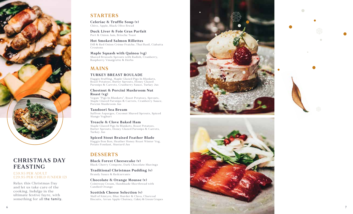

# **CHRISTM AS DAY FEASTING**

#### £59.95 PER ADULT £29.95 PER CHILD (UNDER 12)

Relax this Christmas Day and let us take care of the cooking. Indulge in the ultimate festive fayre, with something for all the family.

## **STARTERS**

**Celeriac & Truffle Soup (v)** Chive, Apple, Black Olive Bread

**Duck Liver & Foie Gras Parfait** Port & Onion Jam, Brioche Toast

**Hot Smoked Salmon Rillettes** Dill & Red Onion Crème Fraiche, Thai Basil, Ciabatta C routons

**Maple Squash with Quinoa (vg)** Shaved Brussels Sprouts with Radish, Cranberry, Raspberry Vinaigrette & Herbs

## **MAINS**

#### **TURKEY BREAST ROULADE**

Haggis Stuffing, Maple Glazed Pigs In Blankets, Roast Potatoes, Butter Sprouts, Honey Glazed Parsnips & Carrots, Cranberry Sauce, Turkey Jus

#### **Chestnut & Porcini Mushroom Nut Roast (vg)**

Vegan "Pigs In Blankets", Roast Potatoes, Sprouts, Maple Glazed Parsnips & Carrots, Cranberry Sauce, Porcini Mushroom Jus

#### **Tandoori Sea Bream**

Saffron Asparges, Coconut Shaved Sprouts, Spiced Mango Yoghurt

#### **Treacle & Clove Baked Ham**

Maple Glazed Pigs In Blankets, Roast Potatoes, Butter Sprouts, Honey Glazed Parsnips & Carrots, Turkey Jus

**Spiced Stout Braised Feather Blade** Haggis Bon Bon, Heather Honey Roast Winter Veg, Potato Fondant, Mustard Jus

## **DESSERTS**

**Black Forest Cheesecake (v)** Black Cherry Compote, Dark Chocolate Shavings

**Traditional Christmas Pudding (v)** Brandy Sauce & Redcurrants

**Chocolate & Orange Mousse (v)** Cointreau Cream, Handmade Shortbread with Candied Orange

**Scottish Cheese Selection (v)** Mull of Kintyre, Blue Murder & Clava, Charcoal Biscuits, Arran Apple Chutney, Celery & Green Grapes





 $\bigcap$ 

7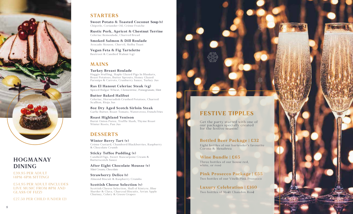

## **HO GM ANAY DINING**

£39. 95 PER A DULT (4PM-6PM SITTING)

£54.95 PER ADULT (INCLUDES LIVE MUSIC FROM 8PM AND GLASS OF FIZZ)

£27.50 PER CHILD (UNDER 12)

## **STARTERS**

**Sweet Potato & Toasted Coconut Soup (v)** Chipotle, Coriander Oil, Crème Fraiche

**Rustic Pork, Apricot & Chestnut Terrine** Celeriac Remoulade, Charred Bread

**Smoked Salmon & Dill Roulade** Avocado Mousse, Chervil, Melba Toast

**Vegan Feta & Fig Tartelette** Beetroot & Candied Walnut (vg)

## **MAINS**

**Turkey Breast Roulade** Haggis Stuffing, Maple Glazed Pigs In Blankets,

Roast Potatoes, Butter Sprouts, Honey Glazed Parsnips & Carrots, Cranberry Sauce, Turkey Jus

**Ras El Hanout Celeriac Steak (vg)** Spiced Bulgar Wheat, Clementine, Pomegranate, Mint

**Butter Baked Halibut** Celeriac, Horseradish Crushed Potatoes, Charred Scallion, Rioja Jus

**8oz Dry Aged Scotch Sirloin Steak** Garlic Butter, Roast Tomato, Watercress, French Fries

**Roast Highland Venison** Burnt Onion Puree, Truffle Mash, Thyme Roast Winter Roots, Pan Jus

## **DESSERTS**

**Winter Berry Tart (v)** Crème Custard, Chambord Blackberries, Raspberry & Chocolate Crumb

**Sticky Toffee Pudding (v)** Candied Figs, Sweet Mascarpone Cream & Butterscotch Sauce

**After Eight Chocolate Mousse (v)** Mint Cream, Chocolate

**Strawberry Delice (v)** Almond Biscuit & Raspberry Crumbs

**Scottish Cheese Selection (v)** Scottish Cheese Selection, Mull of Kintyre, Blue Murder & Clava, Charcoal Biscuits, Arran Apple Chutney, Celery & Green Grapes

# **FESTIVE TIPPLES**

Get the party started with one of our packages specially created for the festive season!

**Bottled Beer Package | £32** Eight bottles of our bartender's favourite Corona & Menabrea

## **Wine Bundle | £65**

Three bottles of our house red, white, or rosé

**Pink Prosecco Package | £55** Two bottles of our Vitelli Pink Prosecco

**Luxury Celebration | £160** Two bottles of Moët Chandon Rosè

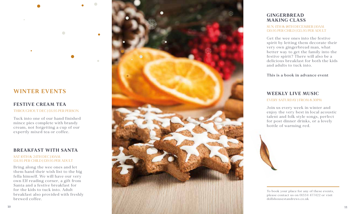

## **FESTIVE CREAM TEA**

THROUGHOUT DEC | £6.95 PER PERSON

 $\bigcap$ 

Tuck into one of our hand finished mince pies complete with brandy cream, not forgetting a cup of our expertly mixed tea or coffee.

#### **BREAKFAST WITH SANTA**

#### SAT 10TH & 24TH DEC | 10AM £14.95 PER CHILD | £19.95 PER ADULT

Bring along the wee ones and let them hand their wish list to the big fella himself. We will have our very own Elf reading corner, a gift from Santa and a festive breakfast for for the kids to tuck into. Adult breakfast also provided with freshly brewed coffee.



## **GINGERBREAD MAKING CLASS**

#### SUN 4TH & 18TH DECEMBER | 10AM £10.95 PER CHILD | £15.95 PER ADULT

Get the wee ones into the festive spirit by letting them decorate their very own gingerbread man, what better way to get the family into the festive spirit? There will also be a delicious breakfast for both the kids and adults to tuck into.

This is a book in advance event

# **WEEKLY LIVE MUSIC**

EVERY SATURDAY | FROM 8.30PM

Join us every week in winter and enjoy the very best in local acoustic talent and folk style songs, perfect for post dinner drinks, or a lovely bottle of warming red.



To book your place for any of these events, please contact us on 01334 477422 or visit dollshousestandrews.co.uk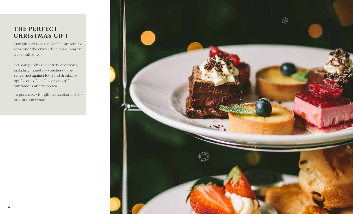# THE PERFECT **CHRISTMAS GIFT**

Our giftcards are the perfect present for someone who enjoys delicious dining or a cocktail or two.

You can purchase a variety of options, including monetary vouchers to be redeemed against food and drinks, or opt for one of our "experiences" " like our famous afternoon tea.

To purchase, visit giftideasscotland.co.uk or visit us in venue.

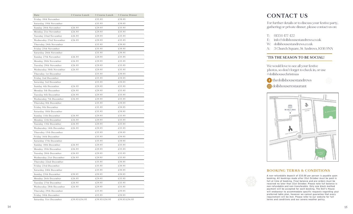| Date                    | 2 Course Lunch | 3 Course Lunch | 3 Course Dinner |
|-------------------------|----------------|----------------|-----------------|
| Friday 18th November    |                | £35.95         | £39.95          |
| Saturday 19th November  |                | £35.95         | £39.95          |
| Sunday 20th November    | £26.95         | £29.95         | £35.95          |
| Monday 21st November    | £26.95         | £29.95         | £35.95          |
| Tuesday 22nd November   | £26.95         | £29.95         | £35.95          |
| Wednesday 23rd November | £26.95         | £29.95         | £35.95          |
| Thursday 24th November  |                | £35.95         | £39.95          |
| Friday 25th November    |                | £35.95         | £39.95          |
| Saturday 26th November  |                | £35.95         | £39.95          |
| Sunday 27th November    | £26.95         | £29.95         | £35.95          |
| Monday 28th November    | £26.95         | £29.95         | £35.95          |
| Tuesday 29th November   | £26.95         | £29.95         | £35.95          |
| Wednesday 30th November | £26.95         | £29.95         | £35.95          |
| Thursday 1st December   |                | £35.95         | £39.95          |
| Friday 2nd December     |                | £35.95         | £39.95          |
| Saturday 3rd December   |                | £35.95         | £39.95          |
| Sunday 4th December     | £26.95         | £29.95         | £35.95          |
| Monday 5th December     | £26.95         | £29.95         | £35.95          |
| Tuesday 6th December    | £26.95         | £29.95         | £35.95          |
| Wednesday 7th December  | £26.95         | £29.95         | £35.95          |
| Thursday 8th December   |                | £35.95         | £39.95          |
| Friday 9th December     |                | £35.95         | £39.95          |
| Saturday 10th December  |                | £35.95         | £39.95          |
| Sunday 11th December    | £26.95         | £29.95         | £35.95          |
| Monday 12th December    | £26.95         | £29.95         | £35.95          |
| Tuesday 13th December   | £26.95         | £29.95         | £35.95          |
| Wednesday 14th December | £26.95         | £29.95         | £35.95          |
| Thursday 15th December  |                | £35.95         | £39.95          |
| Friday 16th December    |                | £35.95         | £39.95          |
| Saturday 17th December  |                | £35.95         | £39.95          |
| Sunday 18th December    | £26.95         | £29.95         | £35.95          |
| Monday 19th December    | £26.95         | £29.95         | £35.95          |
| Tuesday 20th December   | £26.95         | £29.95         | £35.95          |
| Wednesday 21st December | £26.95         | £29.95         | £35.95          |
| Thursday 22nd December  |                | £35.95         | £39.95          |
| Friday 23rd December    |                | £35.95         | £39.95          |
| Saturday 24th December  |                | £35.95         | £39.95          |
| Sunday 25th December    | £59.95         | £59.95         | £59.95          |
| Monday 26th December    | £26.95         | £29.95         | £35.95          |
| Tuesday 27th December   | £26.95         | £29.95         | £35.95          |
| Wednesday 28th December | £26.95         | £29.95         | £35.95          |
| Thursday 29th December  |                | £35.95         | £39.95          |
| Friday 30th December    |                | £35.95         | £39.95          |
| Saturday 31st December  | £39.95/£54.95  | £39.95/£54.95  | £39.95/£54.95   |

## **CONTACT US**

For further details or to discuss your festive party, gathering or private dinner, please contact us on:

- T: 01334 477 422
- E: info@dollshousestandrews.co.uk
- W: dollshousestandrews.co.uk
- A: 3 Church Square, St Andrews, KY16 9NN

### **'TIS THE SEASON TO BE SOCIAL!**

We would love to see all your festive photos, so don't forget to check in, or use #dollshousechristmas

thedollshousestandrews



dollshouserestaurant



#### **BOOKING TERMS & CONDITIONS**



A non-refundable deposit of £10.00 per person is payable upon booking. All bookings made after 31st October must be paid in full at time of booking. Final balance and pre-orders must be received no later than 31st October. Please note full balance is non-refundable and non-transferable. Only one block method payment will be accepted for each booking. The Doll's House will endeavour to accommodate specific requests regarding your preferred table plan, however we cannot guarantee that every requirement will be met. Please refer to our website for full terms and conditions and our severe weather policy.